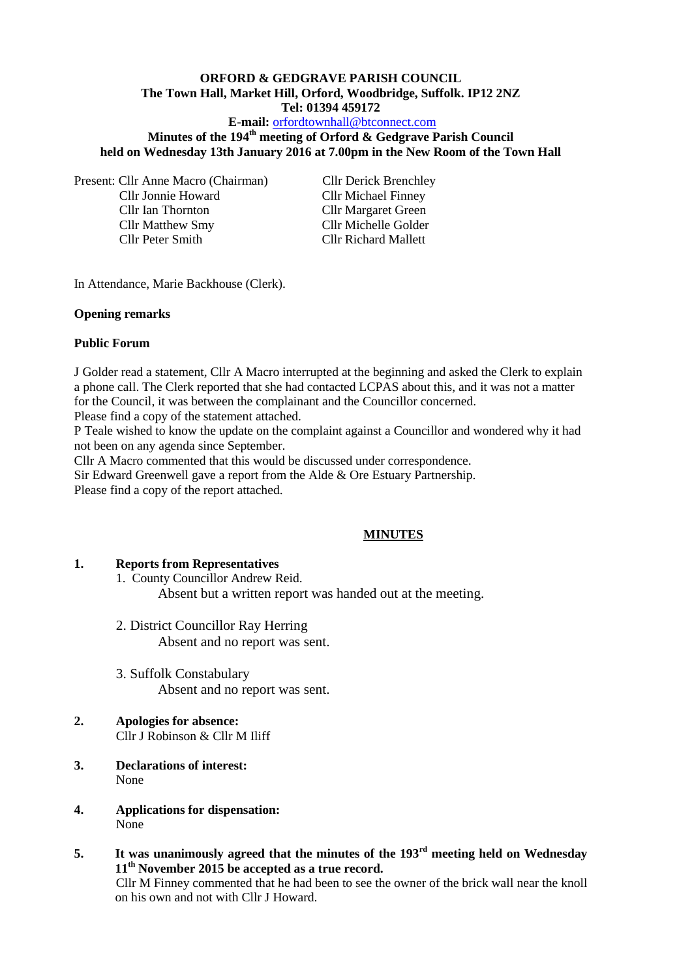## **ORFORD & GEDGRAVE PARISH COUNCIL The Town Hall, Market Hill, Orford, Woodbridge, Suffolk. IP12 2NZ Tel: 01394 459172**

## **E-mail:** [orfordtownhall@btconnect.com](mailto:orfordtownhall@btconnect.com)

# **Minutes of the 194th meeting of Orford & Gedgrave Parish Council held on Wednesday 13th January 2016 at 7.00pm in the New Room of the Town Hall**

Present: Cllr Anne Macro (Chairman) Cllr Derick Brenchley Cllr Jonnie Howard Cllr Michael Finney Cllr Ian Thornton<br>
Cllr Margaret Green<br>
Cllr Michelle Golder Cllr Matthew Smy

Cllr Peter Smith Cllr Richard Mallett

In Attendance, Marie Backhouse (Clerk).

### **Opening remarks**

## **Public Forum**

J Golder read a statement, Cllr A Macro interrupted at the beginning and asked the Clerk to explain a phone call. The Clerk reported that she had contacted LCPAS about this, and it was not a matter for the Council, it was between the complainant and the Councillor concerned.

Please find a copy of the statement attached.

P Teale wished to know the update on the complaint against a Councillor and wondered why it had not been on any agenda since September.

Cllr A Macro commented that this would be discussed under correspondence.

Sir Edward Greenwell gave a report from the Alde & Ore Estuary Partnership. Please find a copy of the report attached.

# **MINUTES**

### **1. Reports from Representatives**

1. County Councillor Andrew Reid. Absent but a written report was handed out at the meeting.

- 2. District Councillor Ray Herring Absent and no report was sent.
- 3. Suffolk Constabulary Absent and no report was sent.

#### **2. Apologies for absence:** Cllr J Robinson & Cllr M Iliff

- **3. Declarations of interest:**  None
- **4. Applications for dispensation:**  $N$ <sub>O</sub>ne
- **5. It was unanimously agreed that the minutes of the 193rd meeting held on Wednesday 11th November 2015 be accepted as a true record.**

Cllr M Finney commented that he had been to see the owner of the brick wall near the knoll on his own and not with Cllr J Howard.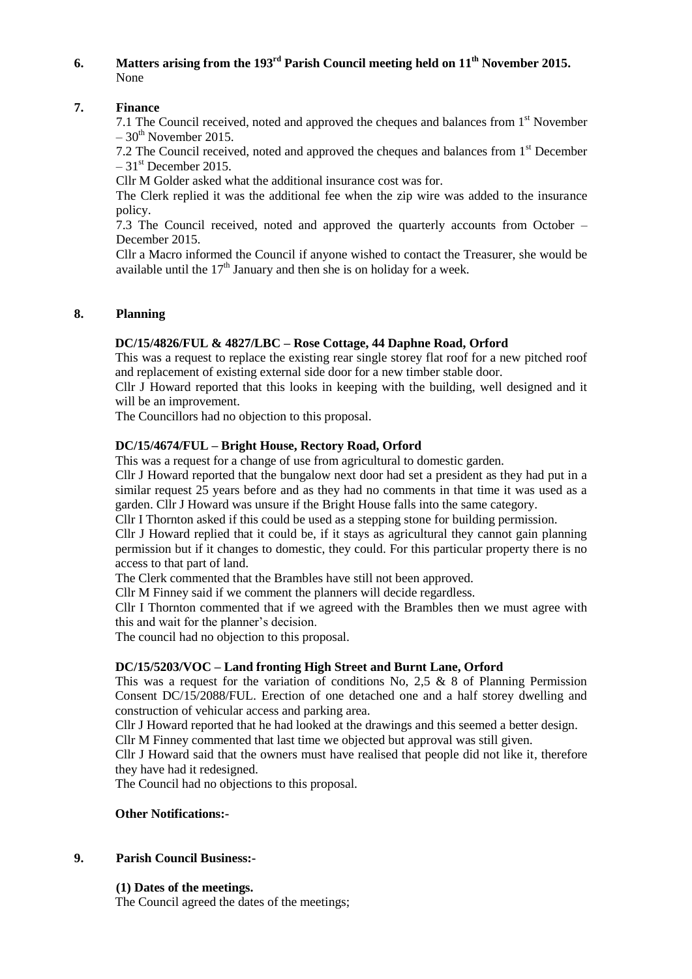# **6. Matters arising from the 193rd Parish Council meeting held on 11th November 2015.** None

## **7. Finance**

7.1 The Council received, noted and approved the cheques and balances from 1<sup>st</sup> November  $-30^{th}$  November 2015.

7.2 The Council received, noted and approved the cheques and balances from 1<sup>st</sup> December  $-31<sup>st</sup>$  December 2015.

Cllr M Golder asked what the additional insurance cost was for.

The Clerk replied it was the additional fee when the zip wire was added to the insurance policy.

7.3 The Council received, noted and approved the quarterly accounts from October – December 2015.

Cllr a Macro informed the Council if anyone wished to contact the Treasurer, she would be available until the  $17<sup>th</sup>$  January and then she is on holiday for a week.

## **8. Planning**

## **DC/15/4826/FUL & 4827/LBC – Rose Cottage, 44 Daphne Road, Orford**

This was a request to replace the existing rear single storey flat roof for a new pitched roof and replacement of existing external side door for a new timber stable door.

Cllr J Howard reported that this looks in keeping with the building, well designed and it will be an improvement.

The Councillors had no objection to this proposal.

## **DC/15/4674/FUL – Bright House, Rectory Road, Orford**

This was a request for a change of use from agricultural to domestic garden.

Cllr J Howard reported that the bungalow next door had set a president as they had put in a similar request 25 years before and as they had no comments in that time it was used as a garden. Cllr J Howard was unsure if the Bright House falls into the same category.

Cllr I Thornton asked if this could be used as a stepping stone for building permission.

Cllr J Howard replied that it could be, if it stays as agricultural they cannot gain planning permission but if it changes to domestic, they could. For this particular property there is no access to that part of land.

The Clerk commented that the Brambles have still not been approved.

Cllr M Finney said if we comment the planners will decide regardless.

Cllr I Thornton commented that if we agreed with the Brambles then we must agree with this and wait for the planner's decision.

The council had no objection to this proposal.

### **DC/15/5203/VOC – Land fronting High Street and Burnt Lane, Orford**

This was a request for the variation of conditions No, 2.5  $\&$  8 of Planning Permission Consent DC/15/2088/FUL. Erection of one detached one and a half storey dwelling and construction of vehicular access and parking area.

Cllr J Howard reported that he had looked at the drawings and this seemed a better design.

Cllr M Finney commented that last time we objected but approval was still given.

Cllr J Howard said that the owners must have realised that people did not like it, therefore they have had it redesigned.

The Council had no objections to this proposal.

### **Other Notifications:-**

### **9. Parish Council Business:-**

### **(1) Dates of the meetings.**

The Council agreed the dates of the meetings;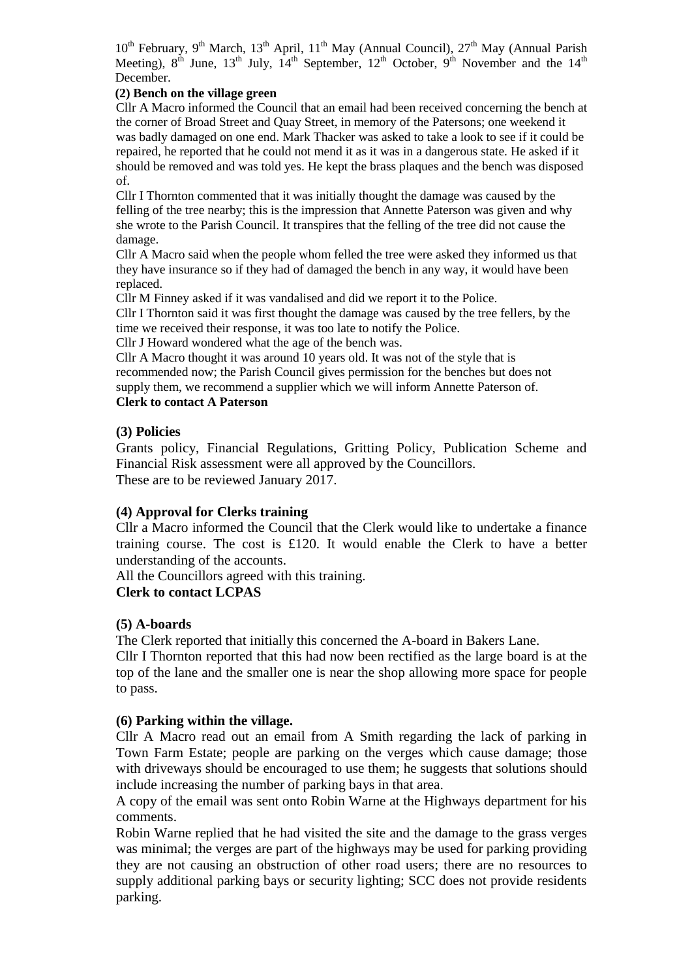$10^{th}$  February, 9<sup>th</sup> March, 13<sup>th</sup> April, 11<sup>th</sup> May (Annual Council), 27<sup>th</sup> May (Annual Parish Meeting),  $8^{th}$  June,  $13^{th}$  July,  $14^{th}$  September,  $12^{th}$  October,  $9^{th}$  November and the  $14^{th}$ December.

## **(2) Bench on the village green**

Cllr A Macro informed the Council that an email had been received concerning the bench at the corner of Broad Street and Quay Street, in memory of the Patersons; one weekend it was badly damaged on one end. Mark Thacker was asked to take a look to see if it could be repaired, he reported that he could not mend it as it was in a dangerous state. He asked if it should be removed and was told yes. He kept the brass plaques and the bench was disposed of.

Cllr I Thornton commented that it was initially thought the damage was caused by the felling of the tree nearby; this is the impression that Annette Paterson was given and why she wrote to the Parish Council. It transpires that the felling of the tree did not cause the damage.

Cllr A Macro said when the people whom felled the tree were asked they informed us that they have insurance so if they had of damaged the bench in any way, it would have been replaced.

Cllr M Finney asked if it was vandalised and did we report it to the Police.

Cllr I Thornton said it was first thought the damage was caused by the tree fellers, by the time we received their response, it was too late to notify the Police.

Cllr J Howard wondered what the age of the bench was.

Cllr A Macro thought it was around 10 years old. It was not of the style that is recommended now; the Parish Council gives permission for the benches but does not supply them, we recommend a supplier which we will inform Annette Paterson of.

# **Clerk to contact A Paterson**

# **(3) Policies**

Grants policy, Financial Regulations, Gritting Policy, Publication Scheme and Financial Risk assessment were all approved by the Councillors. These are to be reviewed January 2017.

# **(4) Approval for Clerks training**

Cllr a Macro informed the Council that the Clerk would like to undertake a finance training course. The cost is £120. It would enable the Clerk to have a better understanding of the accounts.

All the Councillors agreed with this training.

# **Clerk to contact LCPAS**

# **(5) A-boards**

The Clerk reported that initially this concerned the A-board in Bakers Lane.

Cllr I Thornton reported that this had now been rectified as the large board is at the top of the lane and the smaller one is near the shop allowing more space for people to pass.

# **(6) Parking within the village.**

Cllr A Macro read out an email from A Smith regarding the lack of parking in Town Farm Estate; people are parking on the verges which cause damage; those with driveways should be encouraged to use them; he suggests that solutions should include increasing the number of parking bays in that area.

A copy of the email was sent onto Robin Warne at the Highways department for his comments.

Robin Warne replied that he had visited the site and the damage to the grass verges was minimal; the verges are part of the highways may be used for parking providing they are not causing an obstruction of other road users; there are no resources to supply additional parking bays or security lighting; SCC does not provide residents parking.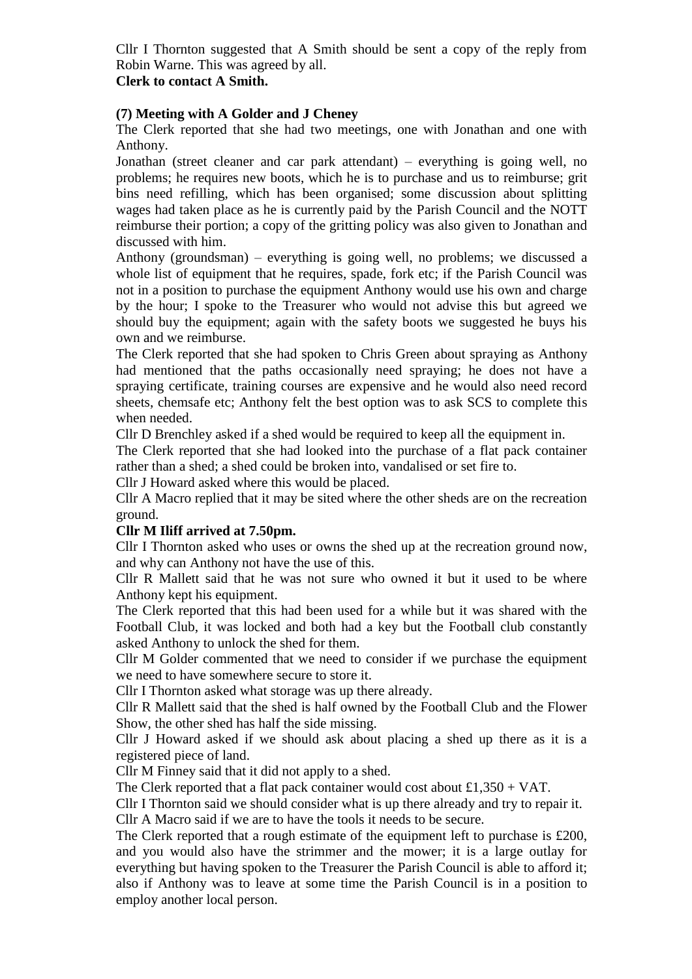Cllr I Thornton suggested that A Smith should be sent a copy of the reply from Robin Warne. This was agreed by all.

## **Clerk to contact A Smith.**

# **(7) Meeting with A Golder and J Cheney**

The Clerk reported that she had two meetings, one with Jonathan and one with Anthony.

Jonathan (street cleaner and car park attendant) – everything is going well, no problems; he requires new boots, which he is to purchase and us to reimburse; grit bins need refilling, which has been organised; some discussion about splitting wages had taken place as he is currently paid by the Parish Council and the NOTT reimburse their portion; a copy of the gritting policy was also given to Jonathan and discussed with him.

Anthony (groundsman) – everything is going well, no problems; we discussed a whole list of equipment that he requires, spade, fork etc; if the Parish Council was not in a position to purchase the equipment Anthony would use his own and charge by the hour; I spoke to the Treasurer who would not advise this but agreed we should buy the equipment; again with the safety boots we suggested he buys his own and we reimburse.

The Clerk reported that she had spoken to Chris Green about spraying as Anthony had mentioned that the paths occasionally need spraying; he does not have a spraying certificate, training courses are expensive and he would also need record sheets, chemsafe etc; Anthony felt the best option was to ask SCS to complete this when needed.

Cllr D Brenchley asked if a shed would be required to keep all the equipment in.

The Clerk reported that she had looked into the purchase of a flat pack container rather than a shed; a shed could be broken into, vandalised or set fire to.

Cllr J Howard asked where this would be placed.

Cllr A Macro replied that it may be sited where the other sheds are on the recreation ground.

# **Cllr M Iliff arrived at 7.50pm.**

Cllr I Thornton asked who uses or owns the shed up at the recreation ground now, and why can Anthony not have the use of this.

Cllr R Mallett said that he was not sure who owned it but it used to be where Anthony kept his equipment.

The Clerk reported that this had been used for a while but it was shared with the Football Club, it was locked and both had a key but the Football club constantly asked Anthony to unlock the shed for them.

Cllr M Golder commented that we need to consider if we purchase the equipment we need to have somewhere secure to store it.

Cllr I Thornton asked what storage was up there already.

Cllr R Mallett said that the shed is half owned by the Football Club and the Flower Show, the other shed has half the side missing.

Cllr J Howard asked if we should ask about placing a shed up there as it is a registered piece of land.

Cllr M Finney said that it did not apply to a shed.

The Clerk reported that a flat pack container would cost about  $£1,350 + VAT$ .

Cllr I Thornton said we should consider what is up there already and try to repair it. Cllr A Macro said if we are to have the tools it needs to be secure.

The Clerk reported that a rough estimate of the equipment left to purchase is £200, and you would also have the strimmer and the mower; it is a large outlay for everything but having spoken to the Treasurer the Parish Council is able to afford it; also if Anthony was to leave at some time the Parish Council is in a position to employ another local person.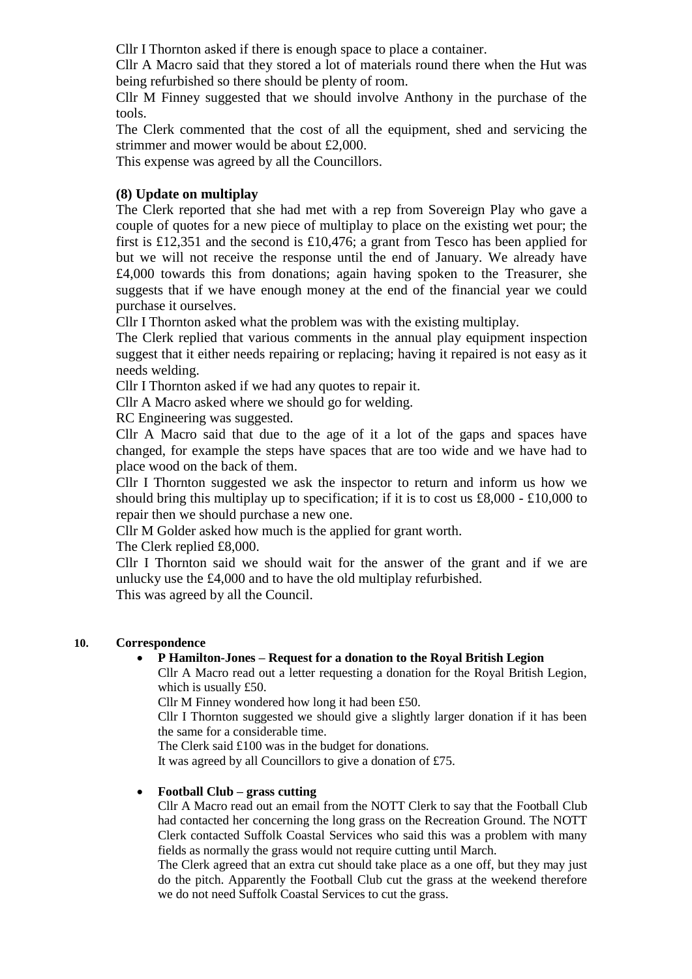Cllr I Thornton asked if there is enough space to place a container.

Cllr A Macro said that they stored a lot of materials round there when the Hut was being refurbished so there should be plenty of room.

Cllr M Finney suggested that we should involve Anthony in the purchase of the tools.

The Clerk commented that the cost of all the equipment, shed and servicing the strimmer and mower would be about £2,000.

This expense was agreed by all the Councillors.

# **(8) Update on multiplay**

The Clerk reported that she had met with a rep from Sovereign Play who gave a couple of quotes for a new piece of multiplay to place on the existing wet pour; the first is £12,351 and the second is £10,476; a grant from Tesco has been applied for but we will not receive the response until the end of January. We already have £4,000 towards this from donations; again having spoken to the Treasurer, she suggests that if we have enough money at the end of the financial year we could purchase it ourselves.

Cllr I Thornton asked what the problem was with the existing multiplay.

The Clerk replied that various comments in the annual play equipment inspection suggest that it either needs repairing or replacing; having it repaired is not easy as it needs welding.

Cllr I Thornton asked if we had any quotes to repair it.

Cllr A Macro asked where we should go for welding.

RC Engineering was suggested.

Cllr A Macro said that due to the age of it a lot of the gaps and spaces have changed, for example the steps have spaces that are too wide and we have had to place wood on the back of them.

Cllr I Thornton suggested we ask the inspector to return and inform us how we should bring this multiplay up to specification; if it is to cost us  $\pounds8,000 - \pounds10,000$  to repair then we should purchase a new one.

Cllr M Golder asked how much is the applied for grant worth.

The Clerk replied £8,000.

Cllr I Thornton said we should wait for the answer of the grant and if we are unlucky use the £4,000 and to have the old multiplay refurbished.

This was agreed by all the Council.

# **10. Correspondence**

# **P Hamilton-Jones – Request for a donation to the Royal British Legion**

Cllr A Macro read out a letter requesting a donation for the Royal British Legion, which is usually £50.

Cllr M Finney wondered how long it had been £50.

Cllr I Thornton suggested we should give a slightly larger donation if it has been the same for a considerable time.

The Clerk said £100 was in the budget for donations.

It was agreed by all Councillors to give a donation of £75.

### **Football Club – grass cutting**

Cllr A Macro read out an email from the NOTT Clerk to say that the Football Club had contacted her concerning the long grass on the Recreation Ground. The NOTT Clerk contacted Suffolk Coastal Services who said this was a problem with many fields as normally the grass would not require cutting until March.

The Clerk agreed that an extra cut should take place as a one off, but they may just do the pitch. Apparently the Football Club cut the grass at the weekend therefore we do not need Suffolk Coastal Services to cut the grass.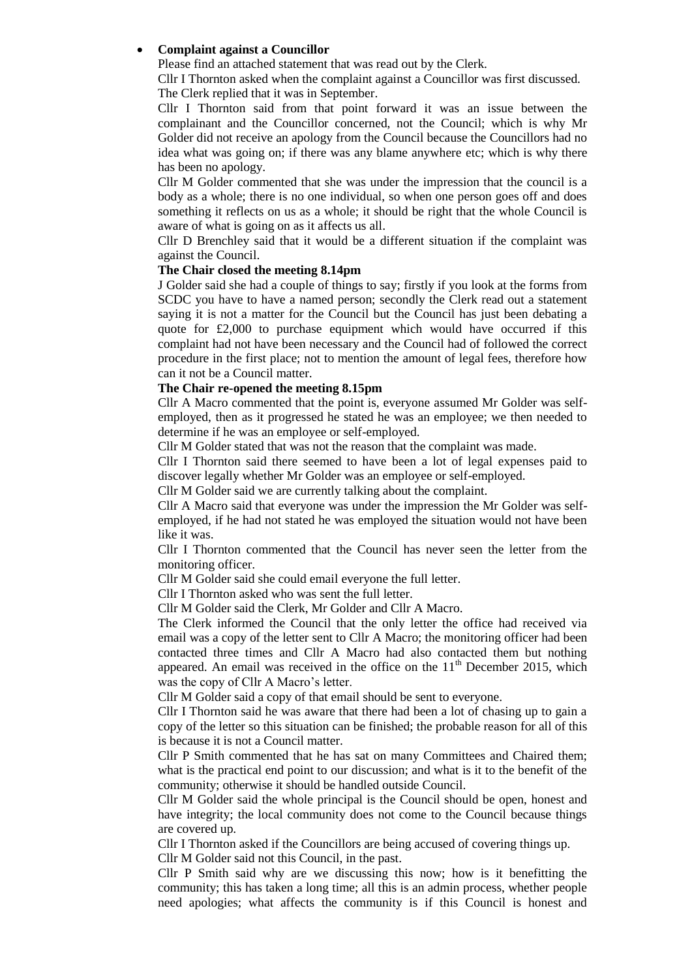### **Complaint against a Councillor**

Please find an attached statement that was read out by the Clerk.

Cllr I Thornton asked when the complaint against a Councillor was first discussed. The Clerk replied that it was in September.

Cllr I Thornton said from that point forward it was an issue between the complainant and the Councillor concerned, not the Council; which is why Mr Golder did not receive an apology from the Council because the Councillors had no idea what was going on; if there was any blame anywhere etc; which is why there has been no apology.

Cllr M Golder commented that she was under the impression that the council is a body as a whole; there is no one individual, so when one person goes off and does something it reflects on us as a whole; it should be right that the whole Council is aware of what is going on as it affects us all.

Cllr D Brenchley said that it would be a different situation if the complaint was against the Council.

#### **The Chair closed the meeting 8.14pm**

J Golder said she had a couple of things to say; firstly if you look at the forms from SCDC you have to have a named person; secondly the Clerk read out a statement saying it is not a matter for the Council but the Council has just been debating a quote for  $\text{\pounds}2,000$  to purchase equipment which would have occurred if this complaint had not have been necessary and the Council had of followed the correct procedure in the first place; not to mention the amount of legal fees, therefore how can it not be a Council matter.

### **The Chair re-opened the meeting 8.15pm**

Cllr A Macro commented that the point is, everyone assumed Mr Golder was selfemployed, then as it progressed he stated he was an employee; we then needed to determine if he was an employee or self-employed.

Cllr M Golder stated that was not the reason that the complaint was made.

Cllr I Thornton said there seemed to have been a lot of legal expenses paid to discover legally whether Mr Golder was an employee or self-employed.

Cllr M Golder said we are currently talking about the complaint.

Cllr A Macro said that everyone was under the impression the Mr Golder was selfemployed, if he had not stated he was employed the situation would not have been like it was.

Cllr I Thornton commented that the Council has never seen the letter from the monitoring officer.

Cllr M Golder said she could email everyone the full letter.

Cllr I Thornton asked who was sent the full letter.

Cllr M Golder said the Clerk, Mr Golder and Cllr A Macro.

The Clerk informed the Council that the only letter the office had received via email was a copy of the letter sent to Cllr A Macro; the monitoring officer had been contacted three times and Cllr A Macro had also contacted them but nothing appeared. An email was received in the office on the  $11<sup>th</sup>$  December 2015, which was the copy of Cllr A Macro's letter.

Cllr M Golder said a copy of that email should be sent to everyone.

Cllr I Thornton said he was aware that there had been a lot of chasing up to gain a copy of the letter so this situation can be finished; the probable reason for all of this is because it is not a Council matter.

Cllr P Smith commented that he has sat on many Committees and Chaired them; what is the practical end point to our discussion; and what is it to the benefit of the community; otherwise it should be handled outside Council.

Cllr M Golder said the whole principal is the Council should be open, honest and have integrity; the local community does not come to the Council because things are covered up.

Cllr I Thornton asked if the Councillors are being accused of covering things up. Cllr M Golder said not this Council, in the past.

Cllr P Smith said why are we discussing this now; how is it benefitting the community; this has taken a long time; all this is an admin process, whether people need apologies; what affects the community is if this Council is honest and